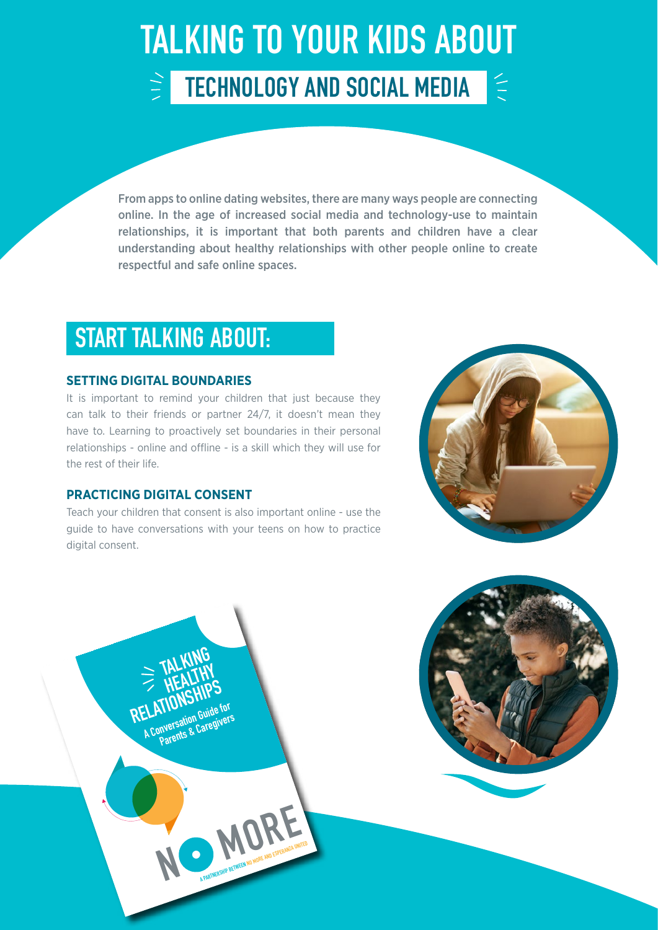### TALKING TO YOUR KIDS ABOUT  $\ge$  TECHNOLOGY AND SOCIAL MEDIA 全

From apps to online dating websites, there are many ways people are connecting online. In the age of increased social media and technology-use to maintain relationships, it is important that both parents and children have a clear understanding about healthy relationships with other people online to create respectful and safe online spaces.

### START TALKING ABOUT:

#### **SETTING DIGITAL BOUNDARIES**

It is important to remind your children that just because they can talk to their friends or partner 24/7, it doesn't mean they have to. Learning to proactively set boundaries in their personal relationships - online and offline - is a skill which they will use for the rest of their life.

#### **PRACTICING DIGITAL CONSENT**

**N**

 **TALKING** 

**ELAITONNET Guide for Service For Service For Service For Service For Service For Service For Service For Service For Service For Service For Service For Service For Service For Service For Service For Service For Service Parents & Caregivers**

**HEALTHY**<br> **HEALTHY**<br>
RELATIONSHIPS<br>
RELATIONSHIPS

**MORE AND A PARTICIPAL PARTNERS** 

Teach your children that consent is also important online - use the guide to have conversations with your teens on how to practice digital consent.